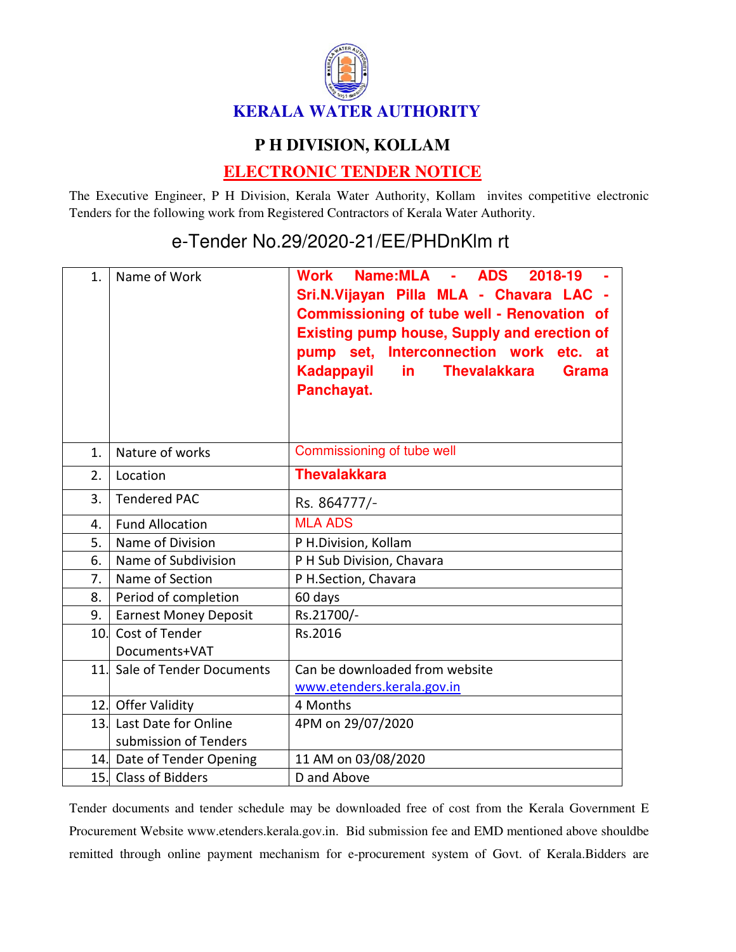

## **P H DIVISION, KOLLAM**

## **ELECTRONIC TENDER NOTICE**

The Executive Engineer, P H Division, Kerala Water Authority, Kollam invites competitive electronic Tenders for the following work from Registered Contractors of Kerala Water Authority.

## e-Tender No.29/2020-21/EE/PHDnKlm rt

| 1.  | Name of Work                 | Name:MLA - ADS<br>2018-19<br>Work<br>Sri.N.Vijayan Pilla MLA - Chavara LAC -<br><b>Commissioning of tube well - Renovation of</b><br><b>Existing pump house, Supply and erection of</b><br>pump set, Interconnection work etc. at<br>Kadappayil<br><b>Thevalakkara</b><br>in.<br><b>Grama</b><br>Panchayat. |
|-----|------------------------------|-------------------------------------------------------------------------------------------------------------------------------------------------------------------------------------------------------------------------------------------------------------------------------------------------------------|
| 1.  | Nature of works              | Commissioning of tube well                                                                                                                                                                                                                                                                                  |
| 2.  | Location                     | <b>Thevalakkara</b>                                                                                                                                                                                                                                                                                         |
| 3.  | <b>Tendered PAC</b>          | Rs. 864777/-                                                                                                                                                                                                                                                                                                |
| 4.  | <b>Fund Allocation</b>       | <b>MLA ADS</b>                                                                                                                                                                                                                                                                                              |
| 5.  | Name of Division             | P H.Division, Kollam                                                                                                                                                                                                                                                                                        |
| 6.  | Name of Subdivision          | P H Sub Division, Chavara                                                                                                                                                                                                                                                                                   |
| 7.  | Name of Section              | P H.Section, Chavara                                                                                                                                                                                                                                                                                        |
| 8.  | Period of completion         | 60 days                                                                                                                                                                                                                                                                                                     |
| 9.  | <b>Earnest Money Deposit</b> | Rs.21700/-                                                                                                                                                                                                                                                                                                  |
| 10. | Cost of Tender               | Rs.2016                                                                                                                                                                                                                                                                                                     |
|     | Documents+VAT                |                                                                                                                                                                                                                                                                                                             |
| 11. | Sale of Tender Documents     | Can be downloaded from website                                                                                                                                                                                                                                                                              |
|     |                              | www.etenders.kerala.gov.in                                                                                                                                                                                                                                                                                  |
|     | 12. Offer Validity           | 4 Months                                                                                                                                                                                                                                                                                                    |
|     | 13. Last Date for Online     | 4PM on 29/07/2020                                                                                                                                                                                                                                                                                           |
|     | submission of Tenders        |                                                                                                                                                                                                                                                                                                             |
|     | 14. Date of Tender Opening   | 11 AM on 03/08/2020                                                                                                                                                                                                                                                                                         |
|     | 15. Class of Bidders         | D and Above                                                                                                                                                                                                                                                                                                 |

Tender documents and tender schedule may be downloaded free of cost from the Kerala Government E Procurement Website www.etenders.kerala.gov.in. Bid submission fee and EMD mentioned above shouldbe remitted through online payment mechanism for e-procurement system of Govt. of Kerala.Bidders are